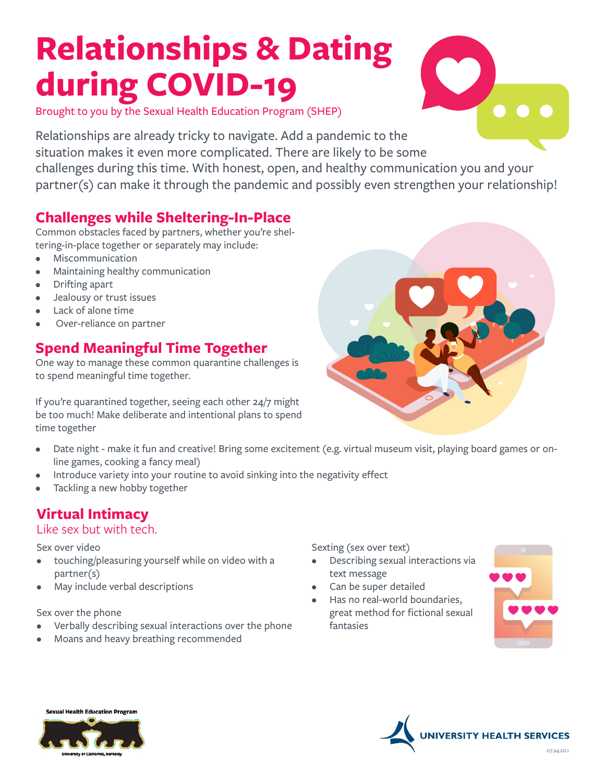# **Relationships & Dating during COVID-19**



Brought to you by the Sexual Health Education Program (SHEP)

Relationships are already tricky to navigate. Add a pandemic to the situation makes it even more complicated. There are likely to be some challenges during this time. With honest, open, and healthy communication you and your partner(s) can make it through the pandemic and possibly even strengthen your relationship!

# **Challenges while Sheltering-In-Place**

Common obstacles faced by partners, whether you're sheltering-in-place together or separately may include:

- Miscommunication
- Maintaining healthy communication
- Drifting apart
- Jealousy or trust issues
- Lack of alone time
- Over-reliance on partner

# **Spend Meaningful Time Together**

One way to manage these common quarantine challenges is to spend meaningful time together.

If you're quarantined together, seeing each other 24/7 might be too much! Make deliberate and intentional plans to spend time together



- Introduce variety into your routine to avoid sinking into the negativity effect
- Tackling a new hobby together

# **Virtual Intimacy**

# Like sex but with tech.

## Sex over video

- touching/pleasuring yourself while on video with a partner(s)
- May include verbal descriptions

## Sex over the phone

- Verbally describing sexual interactions over the phone
- Moans and heavy breathing recommended

Sexting (sex over text)

- Describing sexual interactions via text message
- Can be super detailed
- Has no real-world boundaries, great method for fictional sexual fantasies